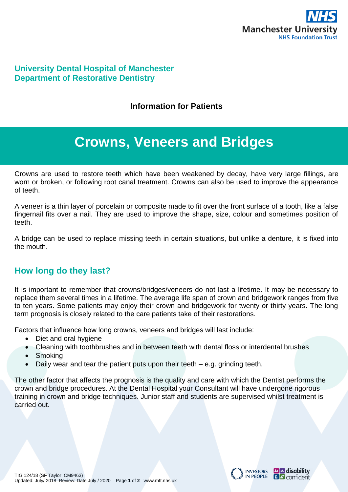

#### **University Dental Hospital of Manchester Department of Restorative Dentistry**

#### **Information for Patients**

# **Crowns, Veneers and Bridges**

Crowns are used to restore teeth which have been weakened by decay, have very large fillings, are worn or broken, or following root canal treatment. Crowns can also be used to improve the appearance of teeth.

A veneer is a thin layer of porcelain or composite made to fit over the front surface of a tooth, like a false fingernail fits over a nail. They are used to improve the shape, size, colour and sometimes position of teeth.

A bridge can be used to replace missing teeth in certain situations, but unlike a denture, it is fixed into the mouth.

### **How long do they last?**

It is important to remember that crowns/bridges/veneers do not last a lifetime. It may be necessary to replace them several times in a lifetime. The average life span of crown and bridgework ranges from five to ten years. Some patients may enjoy their crown and bridgework for twenty or thirty years. The long term prognosis is closely related to the care patients take of their restorations.

Factors that influence how long crowns, veneers and bridges will last include:

- Diet and oral hygiene
- Cleaning with toothbrushes and in between teeth with dental floss or interdental brushes
- Smoking
- Daily wear and tear the patient puts upon their teeth e.g. grinding teeth.

The other factor that affects the prognosis is the quality and care with which the Dentist performs the crown and bridge procedures. At the Dental Hospital your Consultant will have undergone rigorous training in crown and bridge techniques. Junior staff and students are supervised whilst treatment is carried out.